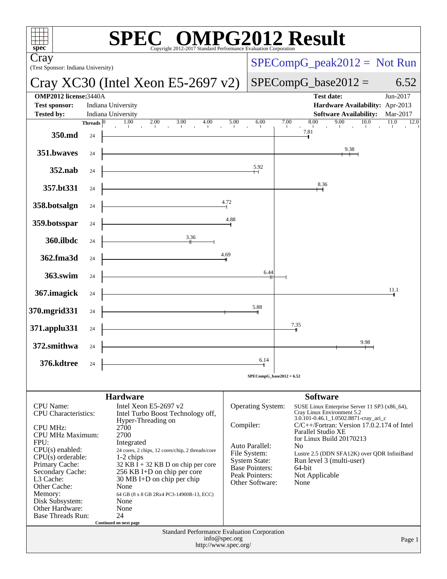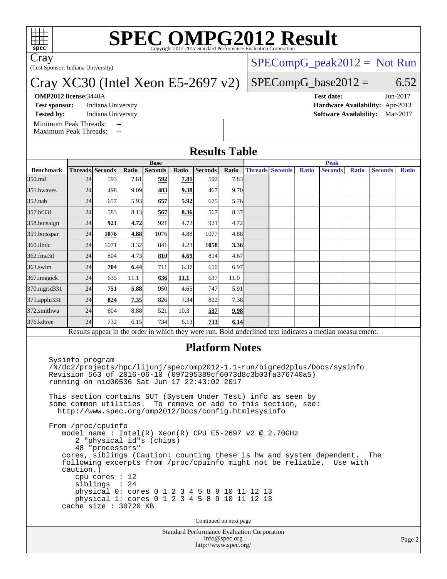

# **[SPEC OMPG2012 Result](http://www.spec.org/auto/omp2012/Docs/result-fields.html#SPECOMPG2012Result)**

Cray

(Test Sponsor: Indiana University)

### Cray XC30 (Intel Xeon E5-2697 v2)

#### **[OMP2012 license:](http://www.spec.org/auto/omp2012/Docs/result-fields.html#OMP2012license)**3440A **[Test date:](http://www.spec.org/auto/omp2012/Docs/result-fields.html#Testdate)** Jun-2017

 $SPECompG_peak2012 = Not Run$  $SPECompG_peak2012 = Not Run$ 

### $SPECompG_base2012 = 6.52$  $SPECompG_base2012 = 6.52$

**[Test sponsor:](http://www.spec.org/auto/omp2012/Docs/result-fields.html#Testsponsor)** Indiana University **[Hardware Availability:](http://www.spec.org/auto/omp2012/Docs/result-fields.html#HardwareAvailability)** Apr-2013

**[Tested by:](http://www.spec.org/auto/omp2012/Docs/result-fields.html#Testedby)** Indiana University **[Software Availability:](http://www.spec.org/auto/omp2012/Docs/result-fields.html#SoftwareAvailability)** Mar-2017

[Minimum Peak Threads:](http://www.spec.org/auto/omp2012/Docs/result-fields.html#MinimumPeakThreads)

[Maximum Peak Threads:](http://www.spec.org/auto/omp2012/Docs/result-fields.html#MaximumPeakThreads)

| <b>Results Table</b> |                                                                                                          |                        |       |                                                               |       |                |       |             |                        |              |                                                                          |              |                |              |  |
|----------------------|----------------------------------------------------------------------------------------------------------|------------------------|-------|---------------------------------------------------------------|-------|----------------|-------|-------------|------------------------|--------------|--------------------------------------------------------------------------|--------------|----------------|--------------|--|
|                      | <b>Base</b>                                                                                              |                        |       |                                                               |       |                |       | <b>Peak</b> |                        |              |                                                                          |              |                |              |  |
| <b>Benchmark</b>     |                                                                                                          | <b>Threads</b> Seconds | Ratio | <b>Seconds</b>                                                | Ratio | <b>Seconds</b> | Ratio |             | <b>Threads Seconds</b> | <b>Ratio</b> | <b>Seconds</b>                                                           | <b>Ratio</b> | <b>Seconds</b> | <b>Ratio</b> |  |
| 350.md               | 24                                                                                                       | 593                    | 7.81  | 592                                                           | 7.81  | 592            | 7.83  |             |                        |              |                                                                          |              |                |              |  |
| 351.bwayes           | 24                                                                                                       | 498                    | 9.09  | 483                                                           | 9.38  | 467            | 9.70  |             |                        |              |                                                                          |              |                |              |  |
| 352.nab              | 24                                                                                                       | 657                    | 5.93  | 657                                                           | 5.92  | 675            | 5.76  |             |                        |              |                                                                          |              |                |              |  |
| 357.bt331            | 24                                                                                                       | 583                    | 8.13  | 567                                                           | 8.36  | 567            | 8.37  |             |                        |              |                                                                          |              |                |              |  |
| 358.botsalgn         | 24                                                                                                       | 921                    | 4.72  | 921                                                           | 4.72  | 921            | 4.72  |             |                        |              |                                                                          |              |                |              |  |
| 359.botsspar         | 24                                                                                                       | 1076                   | 4.88  | 1076                                                          | 4.88  | 1077           | 4.88  |             |                        |              |                                                                          |              |                |              |  |
| 360.ilbdc            | 24                                                                                                       | 1071                   | 3.32  | 841                                                           | 4.23  | 1058           | 3.36  |             |                        |              |                                                                          |              |                |              |  |
| 362.fma3d            | 24                                                                                                       | 804                    | 4.73  | 810                                                           | 4.69  | 814            | 4.67  |             |                        |              |                                                                          |              |                |              |  |
| $363$ .swim          | 24                                                                                                       | 704                    | 6.44  | 711                                                           | 6.37  | 650            | 6.97  |             |                        |              |                                                                          |              |                |              |  |
| 367.imagick          | 24                                                                                                       | 635                    | 11.1  | 636                                                           | 11.1  | 637            | 11.0  |             |                        |              |                                                                          |              |                |              |  |
| 370.mgrid331         | 24                                                                                                       | 751                    | 5.88  | 950                                                           | 4.65  | 747            | 5.91  |             |                        |              |                                                                          |              |                |              |  |
| 371.applu331         | 24                                                                                                       | 824                    | 7.35  | 826                                                           | 7.34  | 822            | 7.38  |             |                        |              |                                                                          |              |                |              |  |
| 372.smithwa          | 24                                                                                                       | 604                    | 8.88  | 521                                                           | 10.3  | 537            | 9.98  |             |                        |              |                                                                          |              |                |              |  |
| 376.kdtree           | 24                                                                                                       | 732                    | 6.15  | 734                                                           | 6.13  | 733            | 6.14  |             |                        |              |                                                                          |              |                |              |  |
|                      | Results appear in the order in which they were run. Bold underlined text indicates a median measurement. |                        |       |                                                               |       |                |       |             |                        |              |                                                                          |              |                |              |  |
|                      | <b>Platform Notes</b>                                                                                    |                        |       |                                                               |       |                |       |             |                        |              |                                                                          |              |                |              |  |
|                      | Sysinfo program                                                                                          |                        |       |                                                               |       |                |       |             |                        |              | /N/dc2/projects/hpc/lijunj/spec/omp2012-1.1-run/bigred2plus/Docs/sysinfo |              |                |              |  |
|                      |                                                                                                          |                        |       | Revision 563 of 2016-06-10 (097295389cf6073d8c3b03fa376740a5) |       |                |       |             |                        |              |                                                                          |              |                |              |  |

 running on nid00536 Sat Jun 17 22:43:02 2017 This section contains SUT (System Under Test) info as seen by some common utilities. To remove or add to this section, see:

<http://www.spec.org/omp2012/Docs/config.html#sysinfo>

 From /proc/cpuinfo model name : Intel(R) Xeon(R) CPU E5-2697 v2 @ 2.70GHz 2 "physical id"s (chips) 48 "processors" cores, siblings (Caution: counting these is hw and system dependent. The following excerpts from /proc/cpuinfo might not be reliable. Use with caution.) cpu cores : 12 siblings : 24 physical 0: cores 0 1 2 3 4 5 8 9 10 11 12 13 physical 1: cores 0 1 2 3 4 5 8 9 10 11 12 13 cache size : 30720 KB

Continued on next page

Standard Performance Evaluation Corporation [info@spec.org](mailto:info@spec.org) <http://www.spec.org/>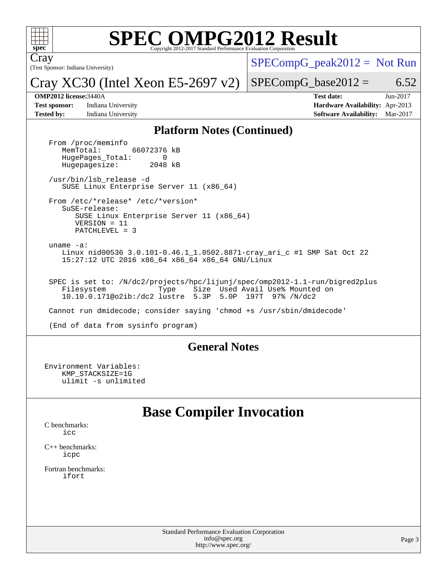

# **[SPEC OMPG2012 Result](http://www.spec.org/auto/omp2012/Docs/result-fields.html#SPECOMPG2012Result)**

(Test Sponsor: Indiana University) Cray

 $SPECompG_peak2012 = Not Run$  $SPECompG_peak2012 = Not Run$ 

Cray XC30 (Intel Xeon E5-2697 v2)

 $SPECompG_base2012 = 6.52$  $SPECompG_base2012 = 6.52$ 

**[Test sponsor:](http://www.spec.org/auto/omp2012/Docs/result-fields.html#Testsponsor)** Indiana University **[Hardware Availability:](http://www.spec.org/auto/omp2012/Docs/result-fields.html#HardwareAvailability)** Apr-2013 **[Tested by:](http://www.spec.org/auto/omp2012/Docs/result-fields.html#Testedby)** Indiana University **[Software Availability:](http://www.spec.org/auto/omp2012/Docs/result-fields.html#SoftwareAvailability)** Mar-2017

**[OMP2012 license:](http://www.spec.org/auto/omp2012/Docs/result-fields.html#OMP2012license)**3440A **[Test date:](http://www.spec.org/auto/omp2012/Docs/result-fields.html#Testdate)** Jun-2017

#### **[Platform Notes \(Continued\)](http://www.spec.org/auto/omp2012/Docs/result-fields.html#PlatformNotes)**

From /proc/meminfo<br>MemTotal: 66072376 kB HugePages\_Total: 0<br>Hugepagesize: 2048 kB Hugepagesize: /usr/bin/lsb\_release -d SUSE Linux Enterprise Server 11 (x86\_64) From /etc/\*release\* /etc/\*version\* SuSE-release: SUSE Linux Enterprise Server 11 (x86\_64) VERSION = 11 PATCHLEVEL = 3 uname -a: Linux nid00536 3.0.101-0.46.1\_1.0502.8871-cray\_ari\_c #1 SMP Sat Oct 22 15:27:12 UTC 2016 x86\_64 x86\_64 x86\_64 GNU/Linux SPEC is set to: /N/dc2/projects/hpc/lijunj/spec/omp2012-1.1-run/bigred2plus Filesystem Type Size Used Avail Use% Mounted on<br>10.10.0.171@o2ib:/dc2 lustre 5.3P 5.0P 197T 97% /N/dc2 10.10.0.171@o2ib:/dc2 lustre 5.3P Cannot run dmidecode; consider saying 'chmod +s /usr/sbin/dmidecode' (End of data from sysinfo program)

### **[General Notes](http://www.spec.org/auto/omp2012/Docs/result-fields.html#GeneralNotes)**

Environment Variables: KMP\_STACKSIZE=1G ulimit -s unlimited

## **[Base Compiler Invocation](http://www.spec.org/auto/omp2012/Docs/result-fields.html#BaseCompilerInvocation)**

[C benchmarks](http://www.spec.org/auto/omp2012/Docs/result-fields.html#Cbenchmarks): [icc](http://www.spec.org/omp2012/results/res2017q3/omp2012-20170728-00113.flags.html#user_CCbase_intel_icc_a87c68a857bc5ec5362391a49d3a37a6)

[C++ benchmarks:](http://www.spec.org/auto/omp2012/Docs/result-fields.html#CXXbenchmarks) [icpc](http://www.spec.org/omp2012/results/res2017q3/omp2012-20170728-00113.flags.html#user_CXXbase_intel_icpc_2d899f8d163502b12eb4a60069f80c1c)

[Fortran benchmarks](http://www.spec.org/auto/omp2012/Docs/result-fields.html#Fortranbenchmarks): [ifort](http://www.spec.org/omp2012/results/res2017q3/omp2012-20170728-00113.flags.html#user_FCbase_intel_ifort_8a5e5e06b19a251bdeaf8fdab5d62f20)